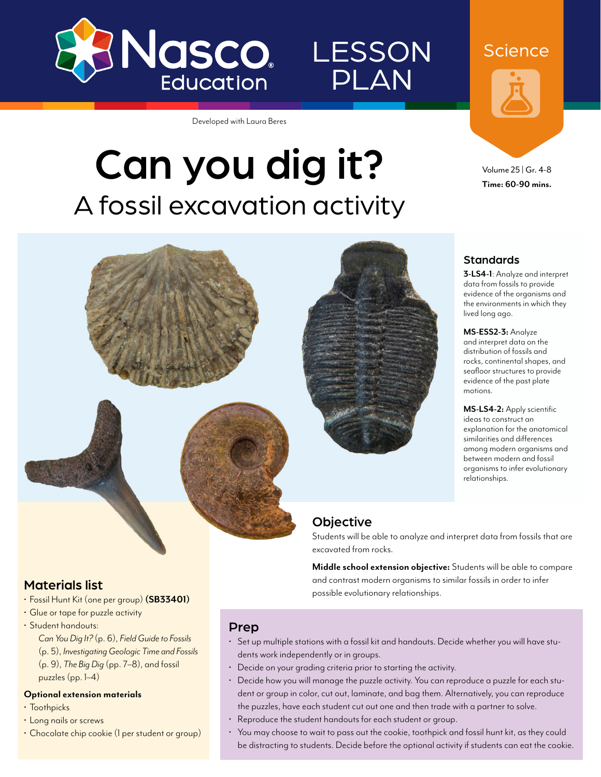

# LESSON PLAN

Developed with Laura Beres

# Can you dig it? A fossil excavation activity





#### **Standards**

**3-LS4-1**: Analyze and interpret data from fossils to provide evidence of the organisms and the environments in which they lived long ago.

**MS-ESS2-3:** Analyze and interpret data on the distribution of fossils and rocks, continental shapes, and seafloor structures to provide evidence of the past plate motions.

**MS-LS4-2:** Apply scientific ideas to construct an explanation for the anatomical similarities and differences among modern organisms and between modern and fossil organisms to infer evolutionary relationships.

### **Objective**

Students will be able to analyze and interpret data from fossils that are excavated from rocks.

**Middle school extension objective:** Students will be able to compare and contrast modern organisms to similar fossils in order to infer possible evolutionary relationships.

#### Materials list

- Fossil Hunt Kit (one per group) **([SB33401\)](http://www.enasco.com/p/SB33401)**
- Glue or tape for puzzle activity • Student handouts: *Can You Dig It?* (p. 6), *Field Guide to Fossils* (p. 5), *Investigating Geologic Time and Fossils* (p. 9), *The Big Dig* (pp. 7–8), and fossil puzzles (pp. 1–4)

#### **Optional extension materials**

- Toothpicks
- Long nails or screws
- Chocolate chip cookie (1 per student or group)

#### Prep

- Set up multiple stations with a fossil kit and handouts. Decide whether you will have students work independently or in groups.
- Decide on your grading criteria prior to starting the activity.
- Decide how you will manage the puzzle activity. You can reproduce a puzzle for each student or group in color, cut out, laminate, and bag them. Alternatively, you can reproduce the puzzles, have each student cut out one and then trade with a partner to solve.
- Reproduce the student handouts for each student or group.
- You may choose to wait to pass out the cookie, toothpick and fossil hunt kit, as they could be distracting to students. Decide before the optional activity if students can eat the cookie.



Volume 25 | Gr. 4-8 **Time: 60-90 mins.**